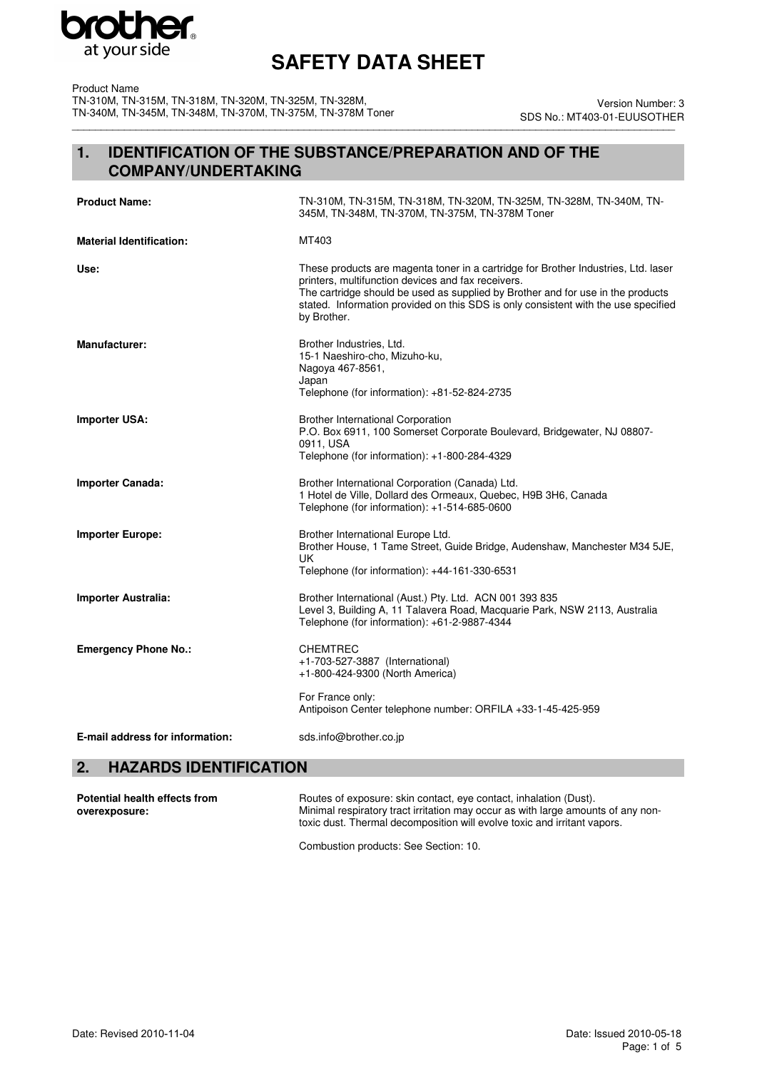

Product Name TN-310M, TN-315M, TN-318M, TN-320M, TN-325M, TN-328M, TN-340M, TN-345M, TN-348M, TN-370M, TN-375M, TN-378M Toner

\_\_\_\_\_\_\_\_\_\_\_\_\_\_\_\_\_\_\_\_\_\_\_\_\_\_\_\_\_\_\_\_\_\_\_\_\_\_\_\_\_\_\_\_\_\_\_\_\_\_\_\_\_\_\_\_\_\_\_\_\_\_\_\_\_\_\_\_\_\_\_\_\_\_\_\_\_\_\_\_\_\_\_\_\_\_\_\_\_\_\_\_\_\_\_\_\_\_\_\_\_\_\_\_ Version Number: 3 SDS No.: MT403-01-EUUSOTHER

### **1. IDENTIFICATION OF THE SUBSTANCE/PREPARATION AND OF THE COMPANY/UNDERTAKING**

| <b>Product Name:</b>            | TN-310M, TN-315M, TN-318M, TN-320M, TN-325M, TN-328M, TN-340M, TN-<br>345M, TN-348M, TN-370M, TN-375M, TN-378M Toner                                                                                                                                                                                                             |
|---------------------------------|----------------------------------------------------------------------------------------------------------------------------------------------------------------------------------------------------------------------------------------------------------------------------------------------------------------------------------|
| <b>Material Identification:</b> | MT403                                                                                                                                                                                                                                                                                                                            |
| Use:                            | These products are magenta toner in a cartridge for Brother Industries, Ltd. laser<br>printers, multifunction devices and fax receivers.<br>The cartridge should be used as supplied by Brother and for use in the products<br>stated. Information provided on this SDS is only consistent with the use specified<br>by Brother. |
| <b>Manufacturer:</b>            | Brother Industries, Ltd.<br>15-1 Naeshiro-cho, Mizuho-ku,<br>Nagoya 467-8561,<br>Japan<br>Telephone (for information): +81-52-824-2735                                                                                                                                                                                           |
| <b>Importer USA:</b>            | <b>Brother International Corporation</b><br>P.O. Box 6911, 100 Somerset Corporate Boulevard, Bridgewater, NJ 08807-<br>0911, USA<br>Telephone (for information): +1-800-284-4329                                                                                                                                                 |
| <b>Importer Canada:</b>         | Brother International Corporation (Canada) Ltd.<br>1 Hotel de Ville, Dollard des Ormeaux, Quebec, H9B 3H6, Canada<br>Telephone (for information): +1-514-685-0600                                                                                                                                                                |
| <b>Importer Europe:</b>         | Brother International Europe Ltd.<br>Brother House, 1 Tame Street, Guide Bridge, Audenshaw, Manchester M34 5JE,<br>UK<br>Telephone (for information): +44-161-330-6531                                                                                                                                                           |
| <b>Importer Australia:</b>      | Brother International (Aust.) Pty. Ltd. ACN 001 393 835<br>Level 3, Building A, 11 Talavera Road, Macquarie Park, NSW 2113, Australia<br>Telephone (for information): +61-2-9887-4344                                                                                                                                            |
| <b>Emergency Phone No.:</b>     | <b>CHEMTREC</b><br>+1-703-527-3887 (International)<br>+1-800-424-9300 (North America)                                                                                                                                                                                                                                            |
|                                 | For France only:<br>Antipoison Center telephone number: ORFILA +33-1-45-425-959                                                                                                                                                                                                                                                  |
| E-mail address for information: | sds.info@brother.co.jp                                                                                                                                                                                                                                                                                                           |

### **2. HAZARDS IDENTIFICATION**

| Potential health effects from | Routes of exposure: skin contact, eye contact, inhalation (Dust).                |
|-------------------------------|----------------------------------------------------------------------------------|
| overexposure:                 | Minimal respiratory tract irritation may occur as with large amounts of any non- |
|                               | toxic dust. Thermal decomposition will evolve toxic and irritant vapors.         |

Combustion products: See Section: 10.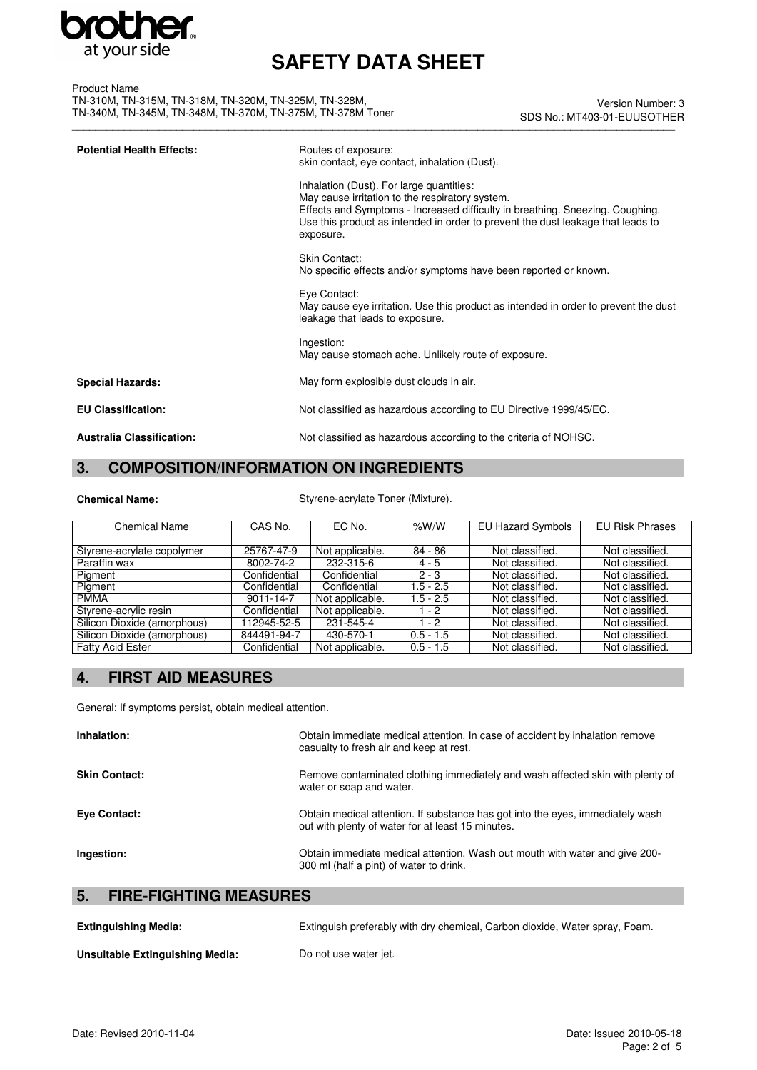

| <b>Product Name</b>                                        |  |
|------------------------------------------------------------|--|
| TN-310M. TN-315M. TN-318M. TN-320M. TN-325M. TN-328M.      |  |
| TN-340M. TN-345M. TN-348M. TN-370M. TN-375M. TN-378M Toner |  |

\_\_\_\_\_\_\_\_\_\_\_\_\_\_\_\_\_\_\_\_\_\_\_\_\_\_\_\_\_\_\_\_\_\_\_\_\_\_\_\_\_\_\_\_\_\_\_\_\_\_\_\_\_\_\_\_\_\_\_\_\_\_\_\_\_\_\_\_\_\_\_\_\_\_\_\_\_\_\_\_\_\_\_\_\_\_\_\_\_\_\_\_\_\_\_\_\_\_\_\_\_\_\_\_ Version Number: 3 SDS No.: MT403-01-EUUSOTHER

| <b>Potential Health Effects:</b> | Routes of exposure:<br>skin contact, eye contact, inhalation (Dust).                                                                                                                                                                                                         |
|----------------------------------|------------------------------------------------------------------------------------------------------------------------------------------------------------------------------------------------------------------------------------------------------------------------------|
|                                  | Inhalation (Dust). For large quantities:<br>May cause irritation to the respiratory system.<br>Effects and Symptoms - Increased difficulty in breathing. Sneezing. Coughing.<br>Use this product as intended in order to prevent the dust leakage that leads to<br>exposure. |
|                                  | Skin Contact:<br>No specific effects and/or symptoms have been reported or known.                                                                                                                                                                                            |
|                                  | Eye Contact:<br>May cause eye irritation. Use this product as intended in order to prevent the dust<br>leakage that leads to exposure.                                                                                                                                       |
|                                  | Ingestion:<br>May cause stomach ache. Unlikely route of exposure.                                                                                                                                                                                                            |
| <b>Special Hazards:</b>          | May form explosible dust clouds in air.                                                                                                                                                                                                                                      |
| <b>EU Classification:</b>        | Not classified as hazardous according to EU Directive 1999/45/EC.                                                                                                                                                                                                            |
| <b>Australia Classification:</b> | Not classified as hazardous according to the criteria of NOHSC.                                                                                                                                                                                                              |

### **3. COMPOSITION/INFORMATION ON INGREDIENTS**

Chemical Name: Styrene-acrylate Toner (Mixture).

| <b>Chemical Name</b>        | CAS No.      | EC No.          | % $W/W$     | <b>EU Hazard Symbols</b> | <b>EU Risk Phrases</b> |
|-----------------------------|--------------|-----------------|-------------|--------------------------|------------------------|
|                             |              |                 |             |                          |                        |
| Styrene-acrylate copolymer  | 25767-47-9   | Not applicable. | 84 - 86     | Not classified.          | Not classified.        |
| Paraffin wax                | 8002-74-2    | 232-315-6       | $4 - 5$     | Not classified.          | Not classified.        |
| Pigment                     | Confidential | Confidential    | $2 - 3$     | Not classified.          | Not classified.        |
| Pigment                     | Confidential | Confidential    | $1.5 - 2.5$ | Not classified.          | Not classified.        |
| <b>PMMA</b>                 | 9011-14-7    | Not applicable. | $1.5 - 2.5$ | Not classified.          | Not classified.        |
| Styrene-acrylic resin       | Confidential | Not applicable. | $1 - 2$     | Not classified.          | Not classified.        |
| Silicon Dioxide (amorphous) | 112945-52-5  | 231-545-4       | $1 - 2$     | Not classified.          | Not classified.        |
| Silicon Dioxide (amorphous) | 844491-94-7  | 430-570-1       | $0.5 - 1.5$ | Not classified.          | Not classified.        |
| <b>Fatty Acid Ester</b>     | Confidential | Not applicable. | $0.5 - 1.5$ | Not classified.          | Not classified.        |

### **4. FIRST AID MEASURES**

General: If symptoms persist, obtain medical attention.

| Inhalation:                         | Obtain immediate medical attention. In case of accident by inhalation remove<br>casualty to fresh air and keep at rest.             |
|-------------------------------------|-------------------------------------------------------------------------------------------------------------------------------------|
| <b>Skin Contact:</b>                | Remove contaminated clothing immediately and wash affected skin with plenty of<br>water or soap and water.                          |
| Eye Contact:                        | Obtain medical attention. If substance has got into the eyes, immediately wash<br>out with plenty of water for at least 15 minutes. |
| Ingestion:                          | Obtain immediate medical attention. Wash out mouth with water and give 200-<br>300 ml (half a pint) of water to drink.              |
| <b>FIRE-FIGHTING MEASURES</b><br>5. |                                                                                                                                     |

| <b>Extinguishing Media:</b>     | Extinguish preferably with dry chemical, Carbon dioxide, Water spray, Foam. |
|---------------------------------|-----------------------------------------------------------------------------|
| Unsuitable Extinguishing Media: | Do not use water jet.                                                       |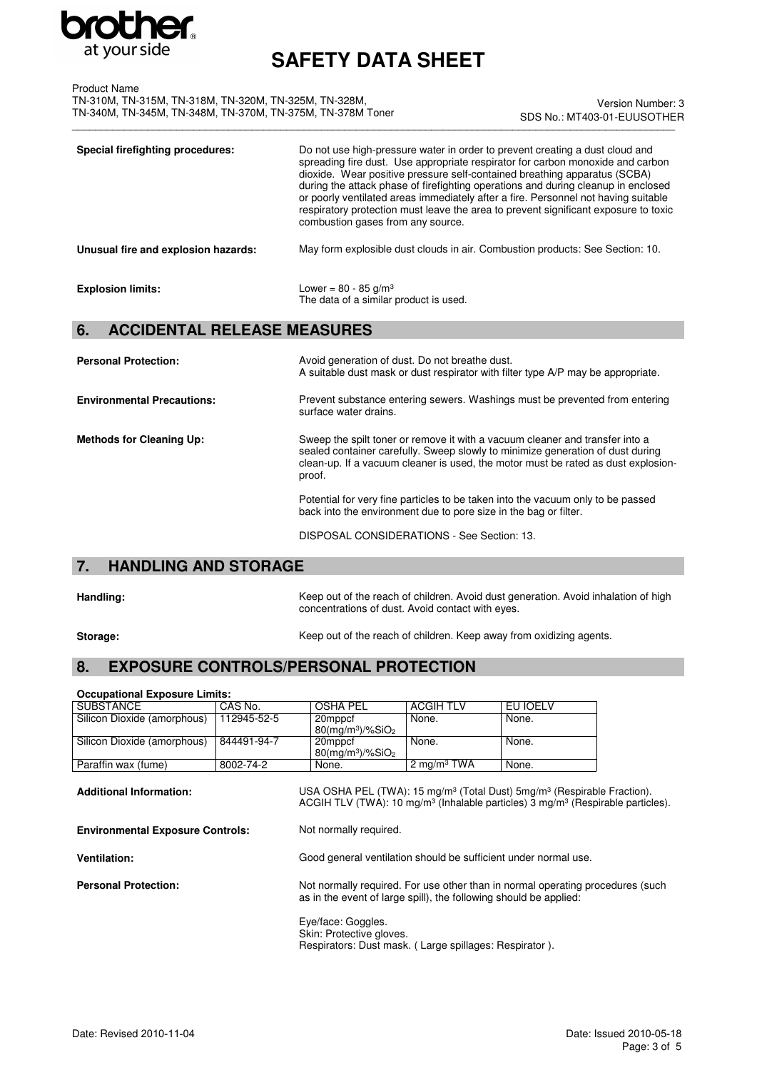

| Product Name                                               |  |
|------------------------------------------------------------|--|
| TN-310M. TN-315M. TN-318M. TN-320M. TN-325M. TN-328M.      |  |
| TN-340M. TN-345M. TN-348M. TN-370M. TN-375M. TN-378M Toner |  |

\_\_\_\_\_\_\_\_\_\_\_\_\_\_\_\_\_\_\_\_\_\_\_\_\_\_\_\_\_\_\_\_\_\_\_\_\_\_\_\_\_\_\_\_\_\_\_\_\_\_\_\_\_\_\_\_\_\_\_\_\_\_\_\_\_\_\_\_\_\_\_\_\_\_\_\_\_\_\_\_\_\_\_\_\_\_\_\_\_\_\_\_\_\_\_\_\_\_\_\_\_\_\_\_ Version Number: 3 SDS No.: MT403-01-EUUSOTHER

| Special firefighting procedures:    | Do not use high-pressure water in order to prevent creating a dust cloud and<br>spreading fire dust. Use appropriate respirator for carbon monoxide and carbon<br>dioxide. Wear positive pressure self-contained breathing apparatus (SCBA)<br>during the attack phase of firefighting operations and during cleanup in enclosed<br>or poorly ventilated areas immediately after a fire. Personnel not having suitable<br>respiratory protection must leave the area to prevent significant exposure to toxic<br>combustion gases from any source. |
|-------------------------------------|----------------------------------------------------------------------------------------------------------------------------------------------------------------------------------------------------------------------------------------------------------------------------------------------------------------------------------------------------------------------------------------------------------------------------------------------------------------------------------------------------------------------------------------------------|
| Unusual fire and explosion hazards: | May form explosible dust clouds in air. Combustion products: See Section: 10.                                                                                                                                                                                                                                                                                                                                                                                                                                                                      |
| <b>Explosion limits:</b>            | Lower = $80 - 85$ g/m <sup>3</sup><br>The data of a similar product is used.                                                                                                                                                                                                                                                                                                                                                                                                                                                                       |

### **6. ACCIDENTAL RELEASE MEASURES**

| <b>Personal Protection:</b>       | Avoid generation of dust. Do not breathe dust.<br>A suitable dust mask or dust respirator with filter type A/P may be appropriate.                                                                                                                            |
|-----------------------------------|---------------------------------------------------------------------------------------------------------------------------------------------------------------------------------------------------------------------------------------------------------------|
| <b>Environmental Precautions:</b> | Prevent substance entering sewers. Washings must be prevented from entering<br>surface water drains.                                                                                                                                                          |
| <b>Methods for Cleaning Up:</b>   | Sweep the spilt toner or remove it with a vacuum cleaner and transfer into a<br>sealed container carefully. Sweep slowly to minimize generation of dust during<br>clean-up. If a vacuum cleaner is used, the motor must be rated as dust explosion-<br>proof. |
|                                   | Potential for very fine particles to be taken into the vacuum only to be passed<br>back into the environment due to pore size in the bag or filter.                                                                                                           |

DISPOSAL CONSIDERATIONS - See Section: 13.

### **7. HANDLING AND STORAGE**

Handling: Keep out of the reach of children. Avoid dust generation. Avoid inhalation of high concentrations of dust. Avoid contact with eyes.

**Storage:** Storage: **Keep out of the reach of children. Keep away from oxidizing agents.** 

### **8. EXPOSURE CONTROLS/PERSONAL PROTECTION**

| <b>Occupational Exposure Limits:</b>                                                                                                                                                                                                         |             |                                                                   |                  |                                                                                |  |
|----------------------------------------------------------------------------------------------------------------------------------------------------------------------------------------------------------------------------------------------|-------------|-------------------------------------------------------------------|------------------|--------------------------------------------------------------------------------|--|
| <b>SUBSTANCE</b>                                                                                                                                                                                                                             | CAS No.     | <b>OSHA PEL</b>                                                   | <b>ACGIH TLV</b> | EU IOELV                                                                       |  |
| Silicon Dioxide (amorphous)                                                                                                                                                                                                                  | 112945-52-5 | 20mppcf<br>$80$ (mg/m <sup>3</sup> )/%SiO <sub>2</sub>            | None.            | None.                                                                          |  |
| Silicon Dioxide (amorphous)                                                                                                                                                                                                                  | 844491-94-7 | 20mppcf<br>$80$ (mg/m <sup>3</sup> )/%SiO <sub>2</sub>            | None.            | None.                                                                          |  |
| Paraffin wax (fume)                                                                                                                                                                                                                          | 8002-74-2   | None.                                                             | 2 mg/m $3$ TWA   | None.                                                                          |  |
| USA OSHA PEL (TWA): 15 mg/m <sup>3</sup> (Total Dust) 5mg/m <sup>3</sup> (Respirable Fraction).<br><b>Additional Information:</b><br>ACGIH TLV (TWA): 10 mg/m <sup>3</sup> (Inhalable particles) 3 mg/m <sup>3</sup> (Respirable particles). |             |                                                                   |                  |                                                                                |  |
| Not normally required.<br><b>Environmental Exposure Controls:</b>                                                                                                                                                                            |             |                                                                   |                  |                                                                                |  |
| <b>Ventilation:</b>                                                                                                                                                                                                                          |             | Good general ventilation should be sufficient under normal use.   |                  |                                                                                |  |
| <b>Personal Protection:</b>                                                                                                                                                                                                                  |             | as in the event of large spill), the following should be applied: |                  | Not normally required. For use other than in normal operating procedures (such |  |

Eye/face: Goggles. Skin: Protective gloves. Respirators: Dust mask. ( Large spillages: Respirator ).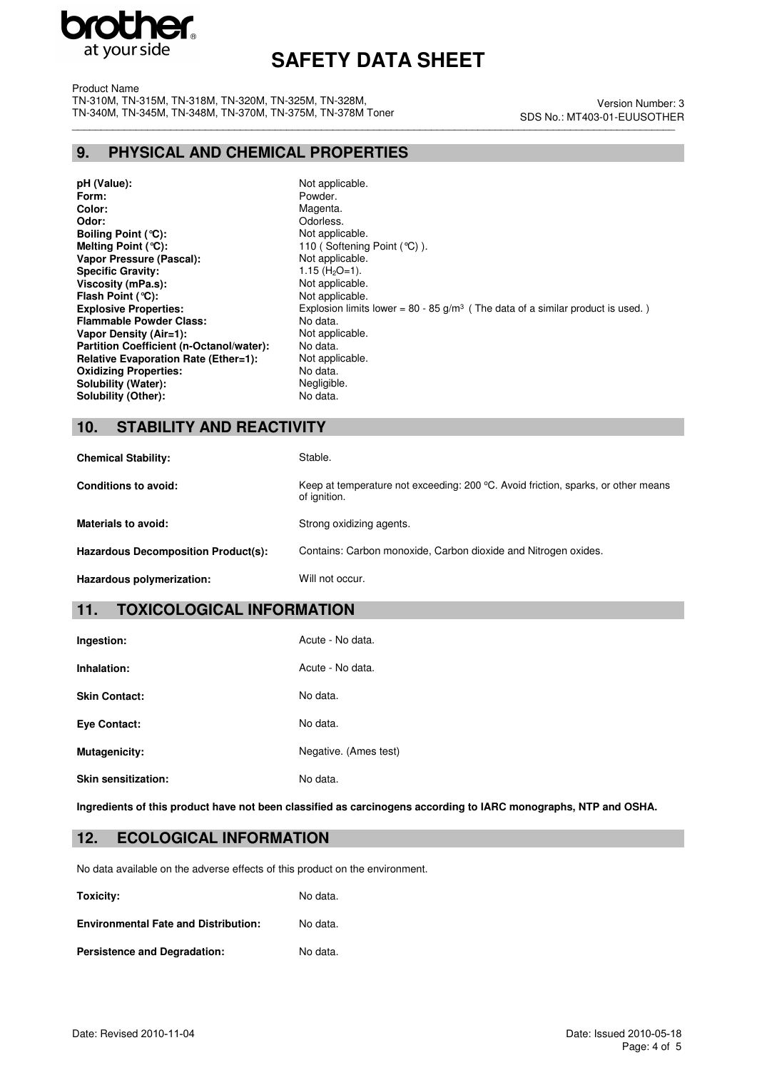

Product Name TN-310M, TN-315M, TN-318M, TN-320M, TN-325M, TN-328M, TN-340M, TN-345M, TN-348M, TN-370M, TN-375M, TN-378M Toner

\_\_\_\_\_\_\_\_\_\_\_\_\_\_\_\_\_\_\_\_\_\_\_\_\_\_\_\_\_\_\_\_\_\_\_\_\_\_\_\_\_\_\_\_\_\_\_\_\_\_\_\_\_\_\_\_\_\_\_\_\_\_\_\_\_\_\_\_\_\_\_\_\_\_\_\_\_\_\_\_\_\_\_\_\_\_\_\_\_\_\_\_\_\_\_\_\_\_\_\_\_\_\_\_ Version Number: 3 SDS No.: MT403-01-EUUSOTHER

### **9. PHYSICAL AND CHEMICAL PROPERTIES**

**pH (Value):** Not applicable.<br> **Form:** Powder. **Color:** Magenta. **Color:** Magenta. **Color:** Magenta. **Color:** Magenta. **Color:** Color: Color: Color: Color: Color: Color: Color: Color: Color: Color: Color: Color: Color: Color: Color: Color: Color: Color: Color: Color: C **Boiling Point (°C):**<br>Melting Point (°C): **Vapor Pressure (Pascal):** Not applicable.<br> **Specific Gravity:** 1.15 (H<sub>2</sub>O=1). **Specific Gravity:**  $1.15 \text{ (H}_2\text{O}=1).$ <br> **Viscosity (mPa.s):** Not applicable. **Viscosity (mPa.s): Flash Point (°C):** Not applicable. **Flammable Powder Class: Vapor Density (Air=1):** Not applicable.<br> **Partition Coefficient (n-Octanol/water):** No data. **Partition Coefficient (n-Octanol/water): Relative Evaporation Rate (Ether=1):** Not applicable.<br> **Oxidizing Properties:** No data. **Oxidizing Properties: Solubility (Water):** Negligible.<br> **Solubility (Other):** No data. **Solubility (Other):** 

Powder. Odorless.<br>Not applicable. 110 (Softening Point (°C) ). **Explosive Properties:** Explosion limits lower = 80 - 85 g/m<sup>3</sup> (The data of a similar product is used. )<br>**Flammable Powder Class:** No data.

### **10. STABILITY AND REACTIVITY**

| <b>Chemical Stability:</b>          | Stable.                                                                                           |
|-------------------------------------|---------------------------------------------------------------------------------------------------|
| <b>Conditions to avoid:</b>         | Keep at temperature not exceeding: 200 °C. Avoid friction, sparks, or other means<br>of ignition. |
| Materials to avoid:                 | Strong oxidizing agents.                                                                          |
| Hazardous Decomposition Product(s): | Contains: Carbon monoxide, Carbon dioxide and Nitrogen oxides.                                    |
| Hazardous polymerization:           | Will not occur.                                                                                   |

### **11. TOXICOLOGICAL INFORMATION**

| Ingestion:           | Acute - No data.      |
|----------------------|-----------------------|
| Inhalation:          | Acute - No data.      |
| <b>Skin Contact:</b> | No data.              |
| <b>Eve Contact:</b>  | No data.              |
| Mutagenicity:        | Negative. (Ames test) |
| Skin sensitization:  | No data.              |

**Ingredients of this product have not been classified as carcinogens according to IARC monographs, NTP and OSHA.**

### **12. ECOLOGICAL INFORMATION**

No data available on the adverse effects of this product on the environment.

**Toxicity:** No data. **Environmental Fate and Distribution:** No data.

Persistence and Degradation: No data.